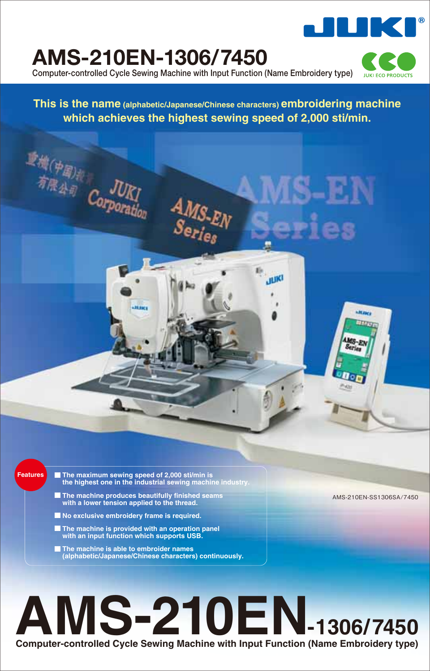

## **AMS-210EN-1306/7450**

動作(中国)# Corpora

**Computer-controlled Cycle Sewing Machine with Input Function (Name Embroidery type)**

 $\frac{A_{MS_{\text{-}E}}}{S_{\text{e}_\text{Pleg}}}$ 

**JUKI ECO PRODUCTS** 

**This is the name (alphabetic/Japanese/Chinese characters) embroidering machine which achieves the highest sewing speed of 2,000 sti/min.**

- **Features The maximum sewing speed of 2,000 sti/min is the highest one in the industrial sewing machine industry.**
	- **The machine produces beautifully finished seams with a lower tension applied to the thread.**

**Hillery** 

- **No exclusive embroidery frame is required.**
- **The machine is provided with an operation panel with an input function which supports USB.**
- **The machine is able to embroider names (alphabetic/Japanese/Chinese characters) continuously.**

# **Computer-controlled Cycle Sewing Machine with Input Function (Name Embroidery type) AMS-210EN-1306/7450**

AMS-210EN-SS1306SA/7450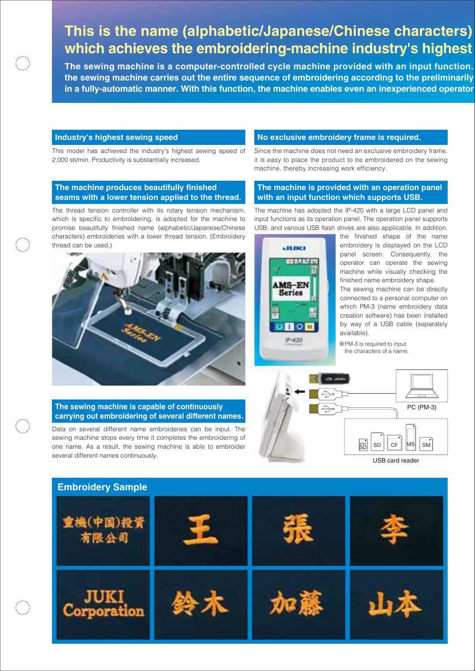### **This is the name (alphabetic/Japanese/Chinese characters) which achieves the embroidering-machine industry's highest**

**The sewing machine is a computer-controlled cycle machine provided with an input function. the sewing machine carries out the entire sequence of embroidering according to the preliminarily in a fully-automatic manner. With this function, the machine enables even an inexperienced operator** 

### **Industry's highest sewing speed**

This model has achieved the industry's highest sewing speed of 2,000 sti/min. Productivity is substantially increased.

### **The machine produces beautifully finished seams with a lower tension applied to the thread.**

The thread tension controller with its rotary tension mechanism, which is specific to embroidering, is adopted for the machine to promise beautifully finished name (alphabetic/Japanese/Chinese characters) embroideries with a lower thread tension. (Embroidery thread can be used.)



#### **The sewing machine is capable of continuously carrying out embroidering of several different names.**

Data on several different name embroideries can be input. The sewing machine stops every time it completes the embroidering of one name. As a result, the sewing machine is able to embroider several different names continuously.

#### **No exclusive embroidery frame is required.**

Since the machine does not need an exclusive embroidery frame, it is easy to place the product to be embroidered on the sewing machine, thereby increasing work efficiency.

### **The machine is provided with an operation panel with an input function which supports USB.**

The machine has adopted the IP-420 with a large LCD panel and input functions as its operation panel. The operation panel supports USB, and various USB flash drives are also applicable. In addition,



the finished shape of the name embroidery is displayed on the LCD panel screen. Consequently, the operator can operate the sewing machine while visually checking the finished name embroidery shape.

The sewing machine can be directly connected to a personal computer on which PM-3 (name embroidery data creation software) has been installed by way of a USB cable (separately available).

PM-3 is required to input the characters of a name.



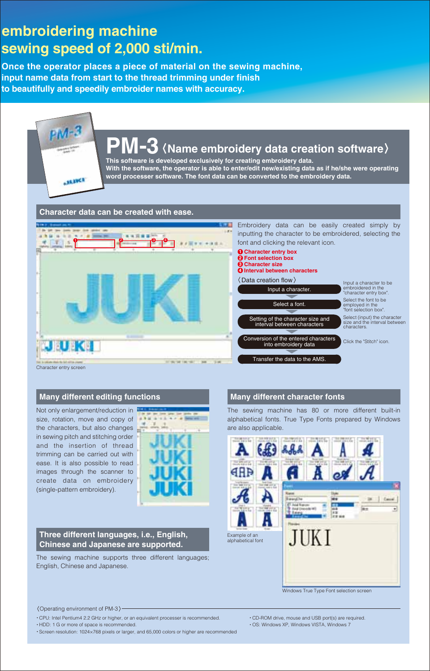## **embroidering machine sewing speed of 2,000 sti/min.**

**Once the operator places a piece of material on the sewing machine, input name data from start to the thread trimming under finish to beautifully and speedily embroider names with accuracy.**

### **PM-3 This software is developed exclusively for creating embroidery data. Name embroidery data creation software**

**With the software, the operator is able to enter/edit new/existing data as if he/she were operating word processer software. The font data can be converted to the embroidery data.**



Character entry screen

**HANCE** 

### **Many different editing functions**

Not only enlargement/reduction in size, rotation, move and copy of the characters, but also changes in sewing pitch and stitching order and the insertion of thread trimming can be carried out with ease. It is also possible to read images through the scanner to create data on embroidery (single-pattern embroidery).



#### **Three different languages, i.e., English, Chinese and Japanese are supported.**

The sewing machine supports three different languages; English, Chinese and Japanese.

### **Many different character fonts**

The sewing machine has 80 or more different built-in alphabetical fonts. True Type Fonts prepared by Windows are also applicable.



Windows True Type Font selection screen

Operating environment of PM-3

- CPU: Intel Pentium4 2.2 GHz or higher, or an equivalent processer is recommended.
- HDD: 1 G or more of space is recommended.

Screen resolution: 1024×768 pixels or larger, and 65,000 colors or higher are recommended

- CD-ROM drive, mouse and USB port(s) are required.
- OS: Windows XP, Windows VISTA, Windows 7